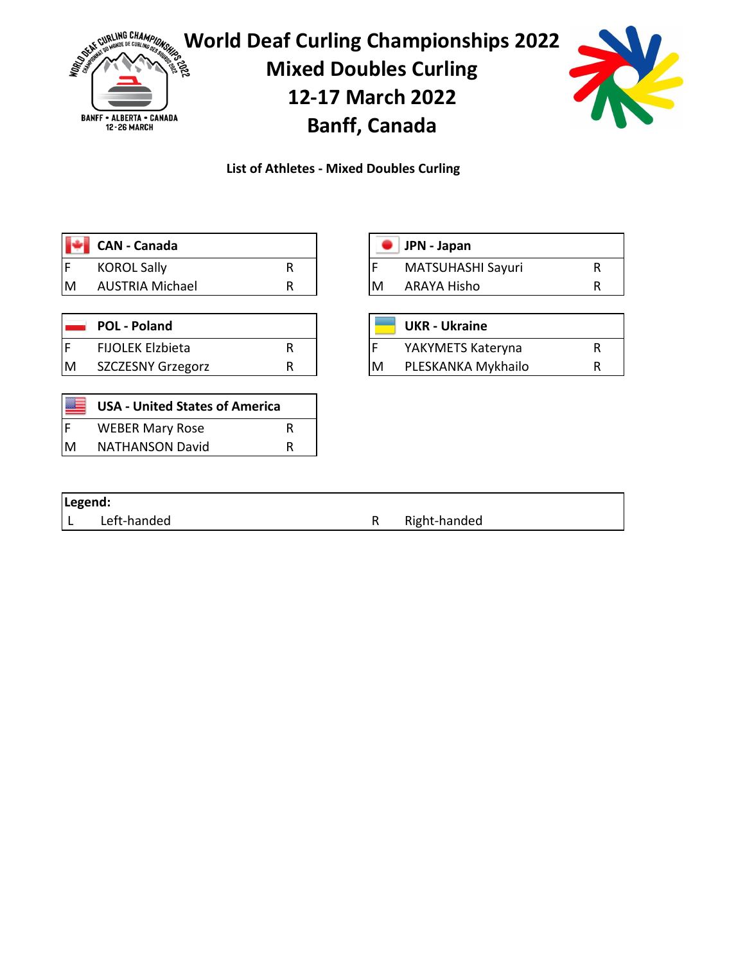

**List of Athletes - Mixed Doubles Curling**

|     | CAN - Canada       |  |   | $\blacksquare$ JPN - Japan |  |
|-----|--------------------|--|---|----------------------------|--|
| l F | <b>KOROL Sally</b> |  |   | MATSUHASHI Sayuri          |  |
| ΙM  | AUSTRIA Michael    |  | M | ARAYA Hisho                |  |

|   | <b>POL - Poland</b>     |  |    | <b>UKR</b> - Ukraine |  |
|---|-------------------------|--|----|----------------------|--|
|   | <b>FIJOLEK Elzbieta</b> |  |    | YAKYMETS Kateryna    |  |
| M | SZCZESNY Grzegorz       |  | ΙM | PLESKANKA Mykhailo   |  |

| JPN - Japan       |  |
|-------------------|--|
| MATSUHASHI Sayuri |  |
| ARAYA Hisho       |  |
|                   |  |

|   | <b>UKR - Ukraine</b> |   |
|---|----------------------|---|
|   | YAKYMETS Kateryna    | ĸ |
| M | PLESKANKA Mykhailo   | R |

|   | <b>USA - United States of America</b> |   |
|---|---------------------------------------|---|
| F | <b>WEBER Mary Rose</b>                | R |
| M | <b>NATHANSON David</b>                | R |

| Legend: |             |              |
|---------|-------------|--------------|
|         | Left-handed | Right-handed |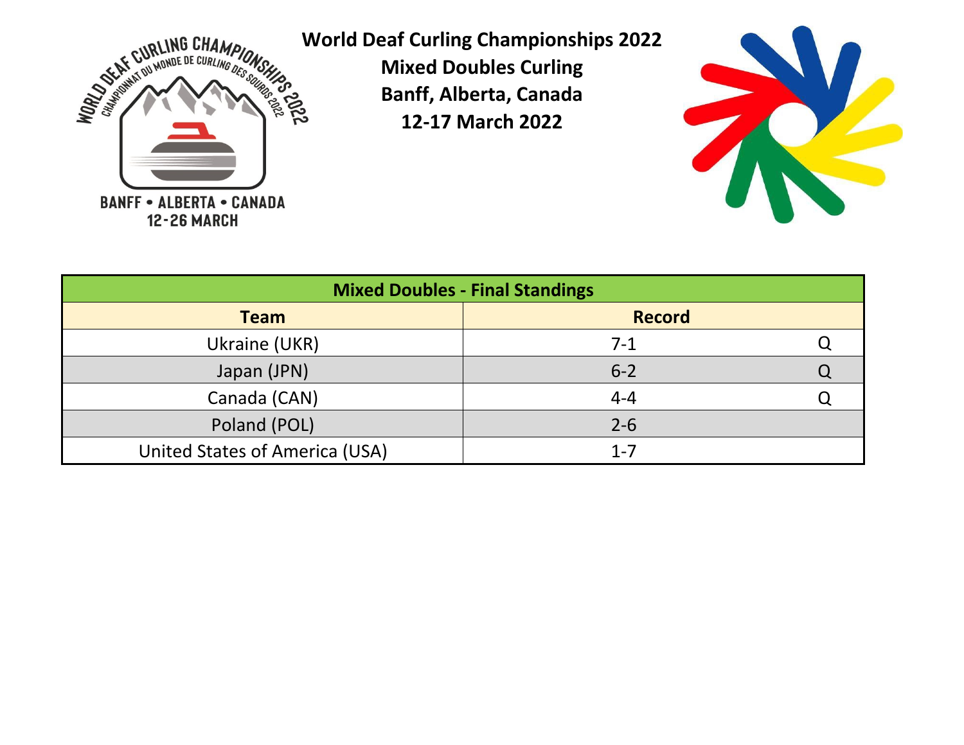



| <b>Mixed Doubles - Final Standings</b> |               |  |  |  |  |  |  |  |  |  |
|----------------------------------------|---------------|--|--|--|--|--|--|--|--|--|
| <b>Team</b>                            | <b>Record</b> |  |  |  |  |  |  |  |  |  |
| Ukraine (UKR)                          | $7-1$         |  |  |  |  |  |  |  |  |  |
| Japan (JPN)                            | $6 - 2$       |  |  |  |  |  |  |  |  |  |
| Canada (CAN)                           | $4 - 4$       |  |  |  |  |  |  |  |  |  |
| Poland (POL)                           | $2 - 6$       |  |  |  |  |  |  |  |  |  |
| United States of America (USA)         | $1 - 7$       |  |  |  |  |  |  |  |  |  |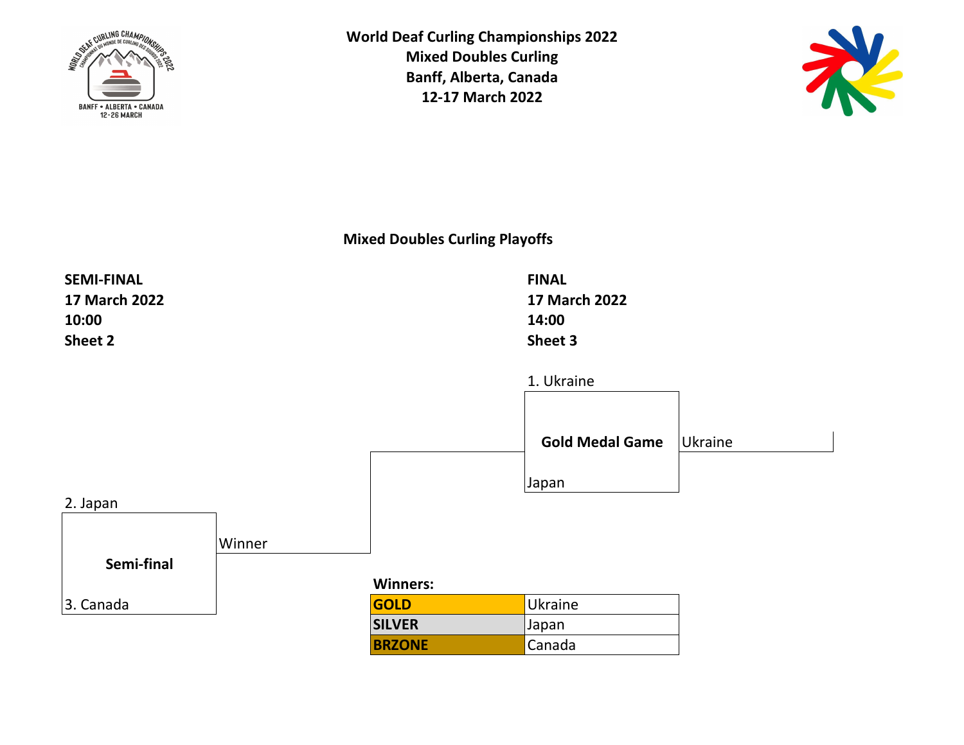



**Mixed Doubles Curling Playoffs**

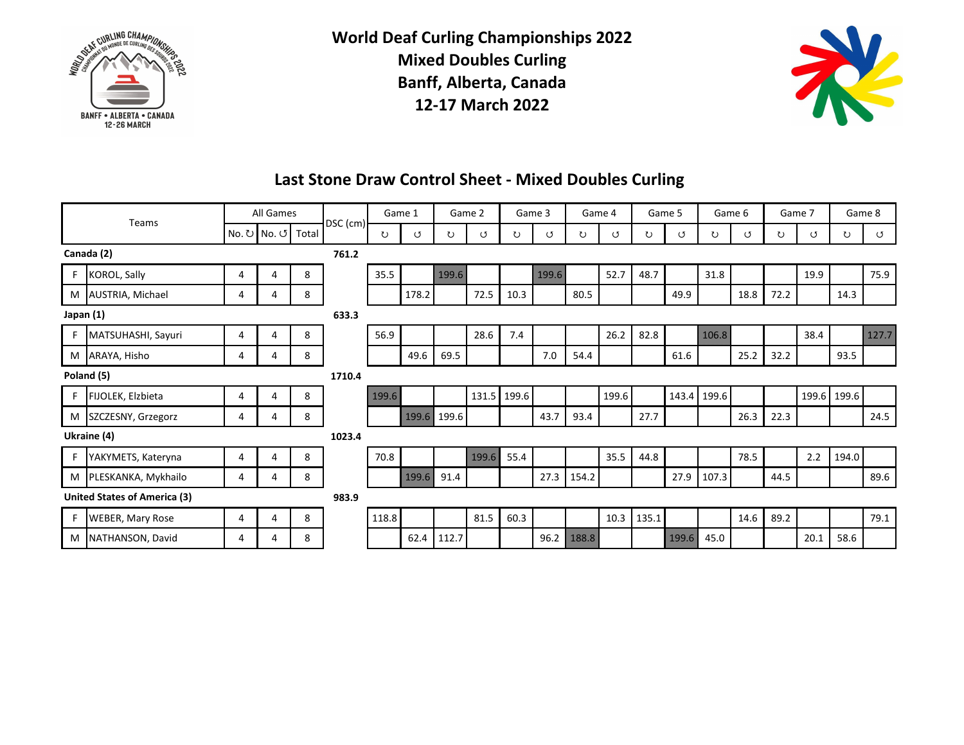



### **Last Stone Draw Control Sheet - Mixed Doubles Curling**

|            | Teams                               |   | All Games   |        |            |                 | Game 1            |                    | Game 2              | Game 3 |                        |                                  | Game 4 |       | Game 5           | Game 6                 |      |      | Game 7 |             | Game 8               |
|------------|-------------------------------------|---|-------------|--------|------------|-----------------|-------------------|--------------------|---------------------|--------|------------------------|----------------------------------|--------|-------|------------------|------------------------|------|------|--------|-------------|----------------------|
|            |                                     |   | No. ひ No. び | Total  | DSC $(cm)$ | ↻               | ೮                 | ℧                  | ೮                   | ℧      | U                      | ℧                                | U      | U     | ೮                | U                      | ೮    | ℧    | U      | ℧           | ೮                    |
|            | Canada (2)                          |   |             |        | 761.2      |                 |                   |                    |                     |        |                        |                                  |        |       |                  |                        |      |      |        |             |                      |
|            | <b>KOROL, Sally</b>                 | 4 | 4           | 8      |            | 35.5            |                   | <b>Maria Barat</b> |                     |        | <b>Service Service</b> |                                  | 52.7   | 48.7  |                  | 31.8                   |      |      | 19.9   |             | 75.9                 |
| M          | AUSTRIA, Michael                    | 4 | 4           | 8      |            |                 | 178.2             |                    | 72.5                | 10.3   |                        | 80.5                             |        |       | 49.9             |                        | 18.8 | 72.2 |        | 14.3        |                      |
| Japan (1)  |                                     |   |             |        | 633.3      |                 |                   |                    |                     |        |                        |                                  |        |       |                  |                        |      |      |        |             |                      |
|            | MATSUHASHI, Sayuri                  | 4 | 4           | 8      |            | 56.9            |                   |                    | 28.6                | 7.4    |                        |                                  | 26.2   | 82.8  |                  | <b>Service Service</b> |      |      | 38.4   |             | <b>Maria Barbara</b> |
| M          | ARAYA, Hisho                        | 4 | 4           | 8      |            |                 | 49.6              | 69.5               |                     |        | 7.0                    | 54.4                             |        |       | 61.6             |                        | 25.2 | 32.2 |        | 93.5        |                      |
| Poland (5) |                                     |   |             | 1710.4 |            |                 |                   |                    |                     |        |                        |                                  |        |       |                  |                        |      |      |        |             |                      |
| F          | FIJOLEK, Elzbieta                   | 4 | 4           | 8      |            | <b>MARSHARE</b> |                   |                    | 131.5               | 199.6  |                        |                                  | 199.6  |       |                  | 143.4 199.6            |      |      |        | 199.6 199.6 |                      |
| м          | SZCZESNY, Grzegorz                  | 4 | 4           | 8      |            |                 | <b>Contractor</b> | 199.6              |                     |        | 43.7                   | 93.4                             |        | 27.7  |                  |                        | 26.3 | 22.3 |        |             | 24.5                 |
|            | Ukraine (4)                         |   |             |        | 1023.4     |                 |                   |                    |                     |        |                        |                                  |        |       |                  |                        |      |      |        |             |                      |
|            | YAKYMETS, Kateryna                  | 4 | 4           | 8      |            | 70.8            |                   |                    | <b>Construction</b> | 55.4   |                        |                                  | 35.5   | 44.8  |                  |                        | 78.5 |      | 2.2    | 194.0       |                      |
| M          | PLESKANKA, Mykhailo                 | 4 | 4           | 8      |            |                 | <b>Maria Bara</b> | 91.4               |                     |        | 27.3                   | 154.2                            |        |       | 27.9             | 107.3                  |      | 44.5 |        |             | 89.6                 |
|            | <b>United States of America (3)</b> |   |             |        |            |                 |                   |                    |                     |        |                        |                                  |        |       |                  |                        |      |      |        |             |                      |
| F          | <b>WEBER, Mary Rose</b>             | 4 | 4           | 8      |            | 118.8           |                   |                    | 81.5                | 60.3   |                        |                                  | 10.3   | 135.1 |                  |                        | 14.6 | 89.2 |        |             | 79.1                 |
| м          | NATHANSON, David                    | 4 | 4           | 8      |            |                 | 62.4              | 112.7              |                     |        | 96.2                   | <b>Santa Cardinal Compositor</b> |        |       | <b>Maria Bar</b> | 45.0                   |      |      | 20.1   | 58.6        |                      |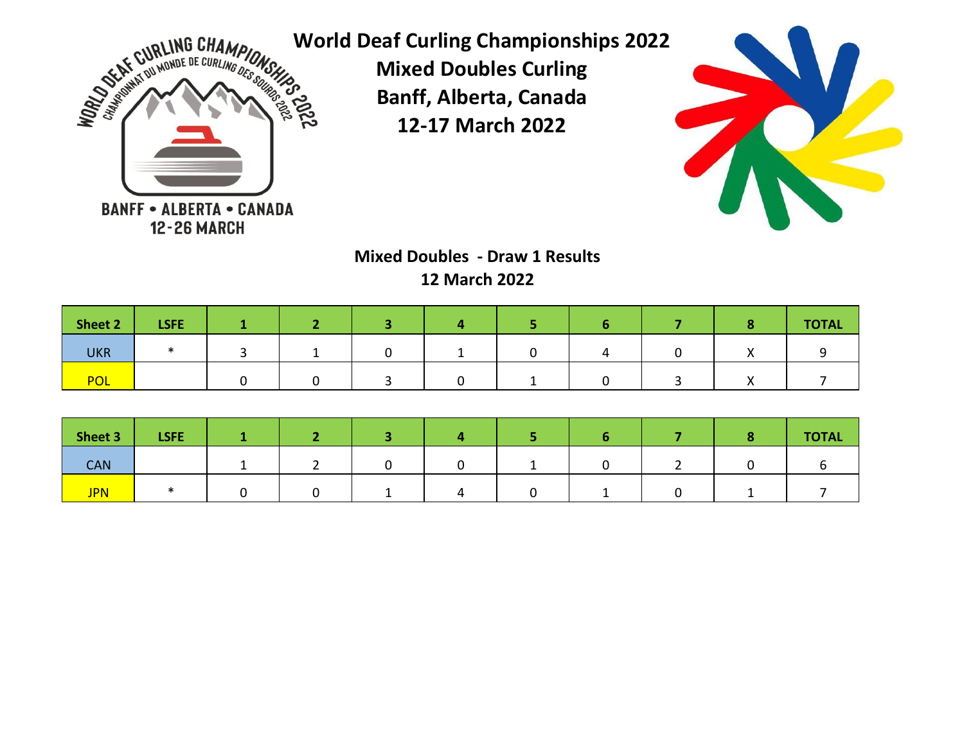



**Mixed Doubles - Draw 1 Results 12 March 2022**

| Sheet 2    | <b>LSFE</b> |  |  |  |  | <b>TOTAL</b> |
|------------|-------------|--|--|--|--|--------------|
| <b>UKR</b> |             |  |  |  |  |              |
| <b>POL</b> |             |  |  |  |  |              |

| Sheet 3    | <b>LSFE</b> |  |  |  |  | <b>TOTAL</b> |
|------------|-------------|--|--|--|--|--------------|
| <b>CAN</b> |             |  |  |  |  |              |
| <b>JPN</b> |             |  |  |  |  |              |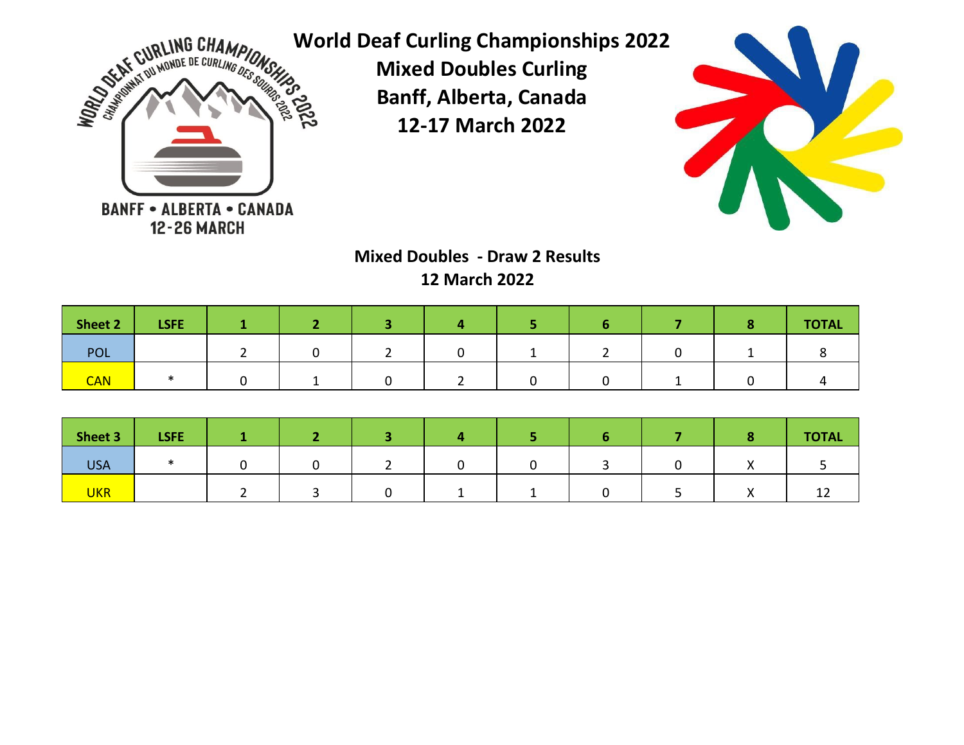



# **Mixed Doubles - Draw 2 Results 12 March 2022**

| Sheet 2    | <b>LSFE</b> |  |  |  |  | <b>TOTAL</b> |
|------------|-------------|--|--|--|--|--------------|
| <b>POL</b> |             |  |  |  |  |              |
| <b>CAN</b> |             |  |  |  |  |              |

| Sheet 3    | <b>LSFE</b> |  |  |  |  | <b>TOTAL</b> |
|------------|-------------|--|--|--|--|--------------|
| <b>USA</b> |             |  |  |  |  |              |
| <b>UKR</b> |             |  |  |  |  | ∸∸           |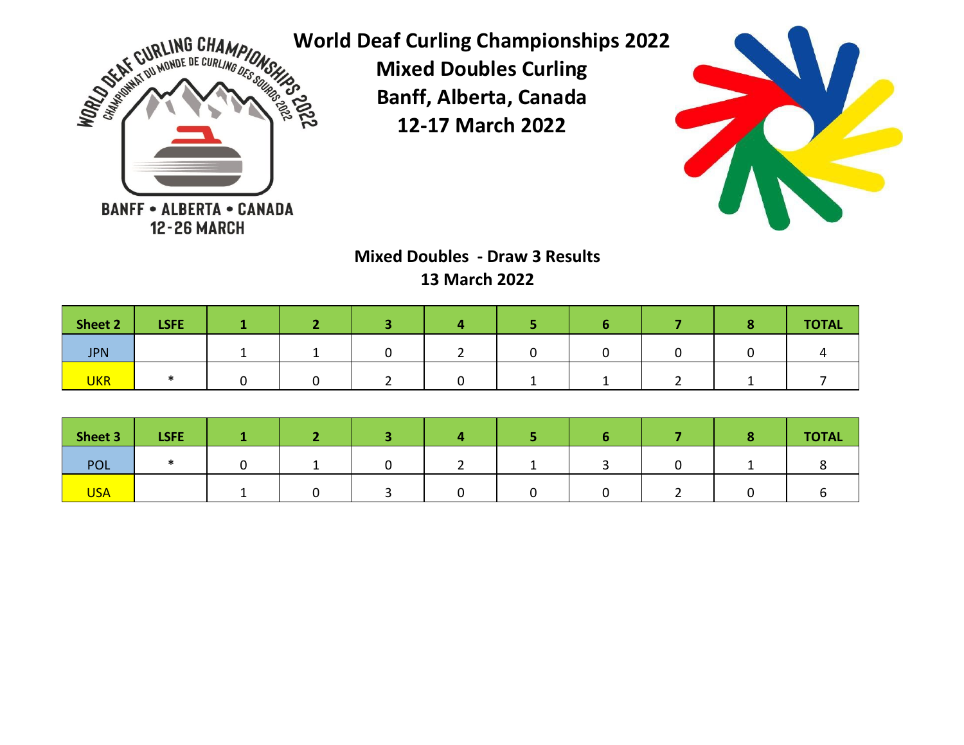



**Mixed Doubles - Draw 3 Results 13 March 2022**

| Sheet 2    | <b>LSFE</b> |  |  |  |  | <b>TOTAL</b> |
|------------|-------------|--|--|--|--|--------------|
| <b>JPN</b> |             |  |  |  |  |              |
| <b>UKR</b> |             |  |  |  |  |              |

| Sheet 3    | LSFE |  |  |  |  | <b>TOTAL</b> |
|------------|------|--|--|--|--|--------------|
| POL        |      |  |  |  |  |              |
| <b>USA</b> |      |  |  |  |  |              |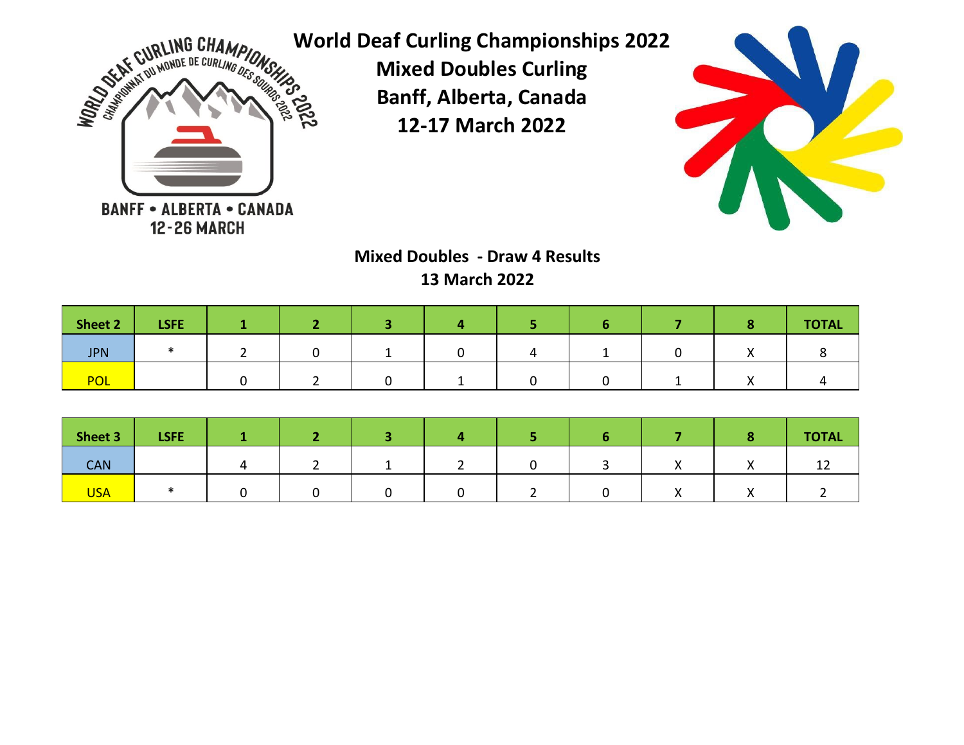



# **Mixed Doubles - Draw 4 Results 13 March 2022**

| Sheet 2    | <b>LSFE</b> |  |  |  |  | <b>TOTAL</b> |
|------------|-------------|--|--|--|--|--------------|
| <b>JPN</b> |             |  |  |  |  |              |
| <b>POL</b> |             |  |  |  |  |              |

| Sheet 3    | <b>LSFE</b> |  |  |  |  | <b>TOTAL</b> |
|------------|-------------|--|--|--|--|--------------|
| <b>CAN</b> |             |  |  |  |  |              |
| <b>USA</b> |             |  |  |  |  |              |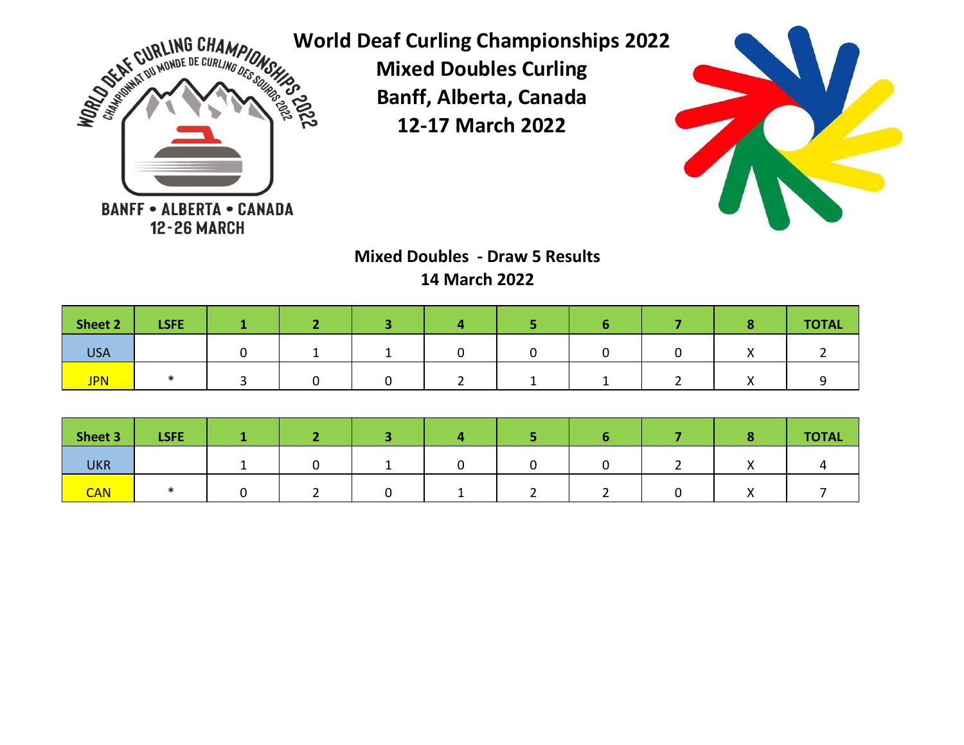



# **Mixed Doubles - Draw 5 Results 14 March 2022**

| Sheet 2    | LSFE/ |  |  |  |  | <b>TOTAL</b> |
|------------|-------|--|--|--|--|--------------|
| <b>USA</b> |       |  |  |  |  |              |
| <b>JPN</b> |       |  |  |  |  |              |

| Sheet 3    | <b>LSFE</b> |  |  |  |  | <b>TOTAL</b> |
|------------|-------------|--|--|--|--|--------------|
| <b>UKR</b> |             |  |  |  |  |              |
| <b>CAN</b> |             |  |  |  |  |              |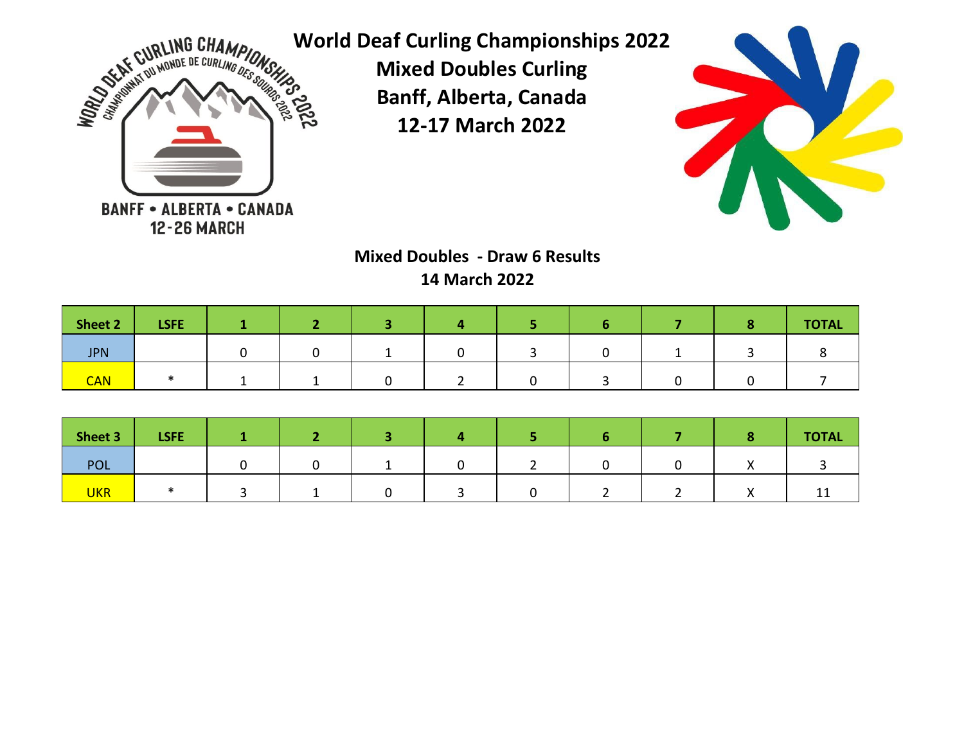



# **Mixed Doubles - Draw 6 Results 14 March 2022**

| Sheet 2    | <b>LSFE</b> |  |  |  |  | <b>TOTAL</b> |
|------------|-------------|--|--|--|--|--------------|
| <b>JPN</b> |             |  |  |  |  |              |
| <b>CAN</b> |             |  |  |  |  |              |

| Sheet 3    | <b>LSFE</b> |  |  |  |  | <b>TOTAL</b> |
|------------|-------------|--|--|--|--|--------------|
| <b>POL</b> |             |  |  |  |  |              |
| <b>UKR</b> |             |  |  |  |  | --           |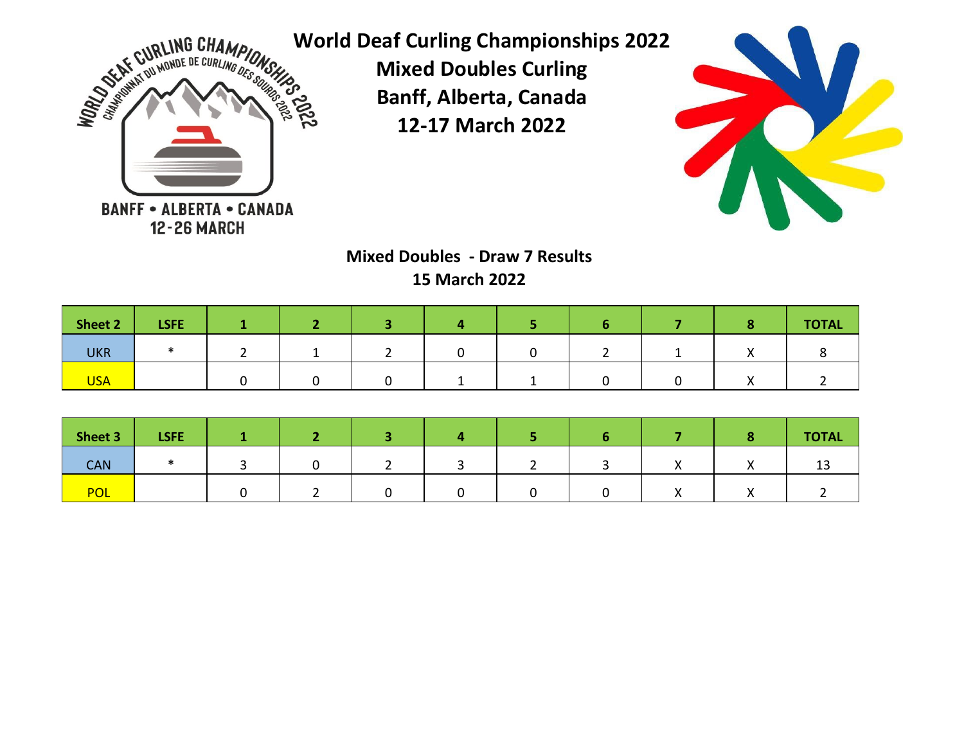



**Mixed Doubles - Draw 7 Results 15 March 2022**

| Sheet 2    | <b>LSFE</b> |  |  |  |  | <b>TOTAL</b> |
|------------|-------------|--|--|--|--|--------------|
| <b>UKR</b> |             |  |  |  |  |              |
| <b>USA</b> |             |  |  |  |  |              |

| Sheet 3    | LSFE. |  |  |  |           | <b>TOTAL</b> |
|------------|-------|--|--|--|-----------|--------------|
| <b>CAN</b> |       |  |  |  |           | 13           |
| <b>POL</b> |       |  |  |  | $\lambda$ |              |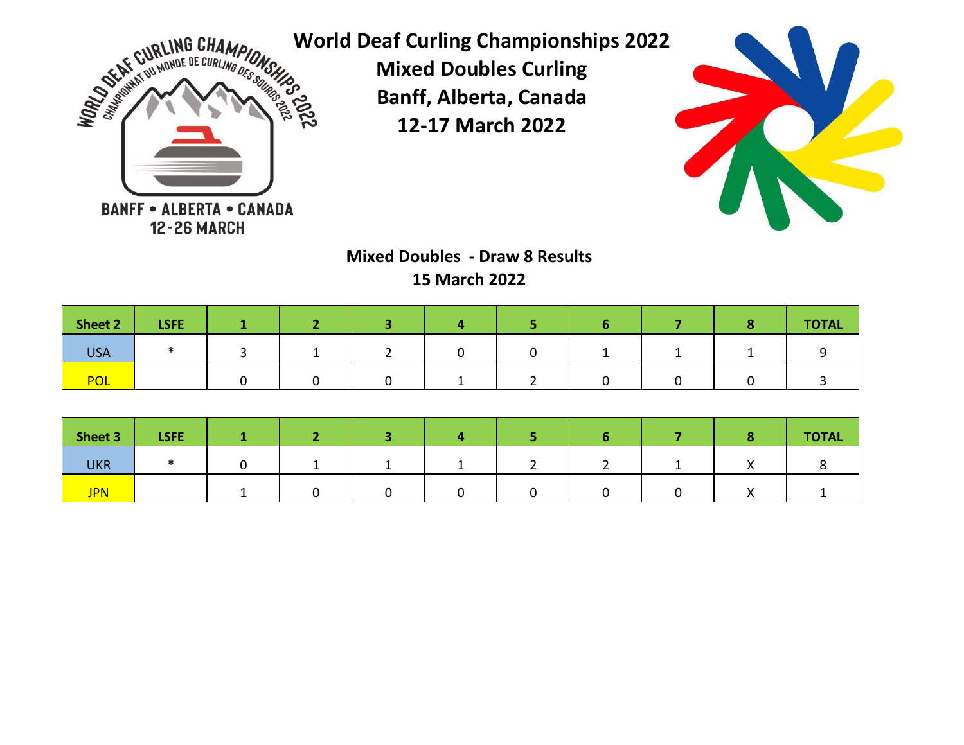



**Mixed Doubles - Draw 8 Results 15 March 2022**

| Sheet 2    | <b>LSFE</b> |  |  |  |  | <b>TOTAL</b> |
|------------|-------------|--|--|--|--|--------------|
| <b>USA</b> |             |  |  |  |  |              |
| <b>POL</b> |             |  |  |  |  |              |

| Sheet 3    | <b>LSFE</b> |  |  |  |  | <b>TOTAL</b> |
|------------|-------------|--|--|--|--|--------------|
| <b>UKR</b> |             |  |  |  |  |              |
| <b>JPN</b> |             |  |  |  |  |              |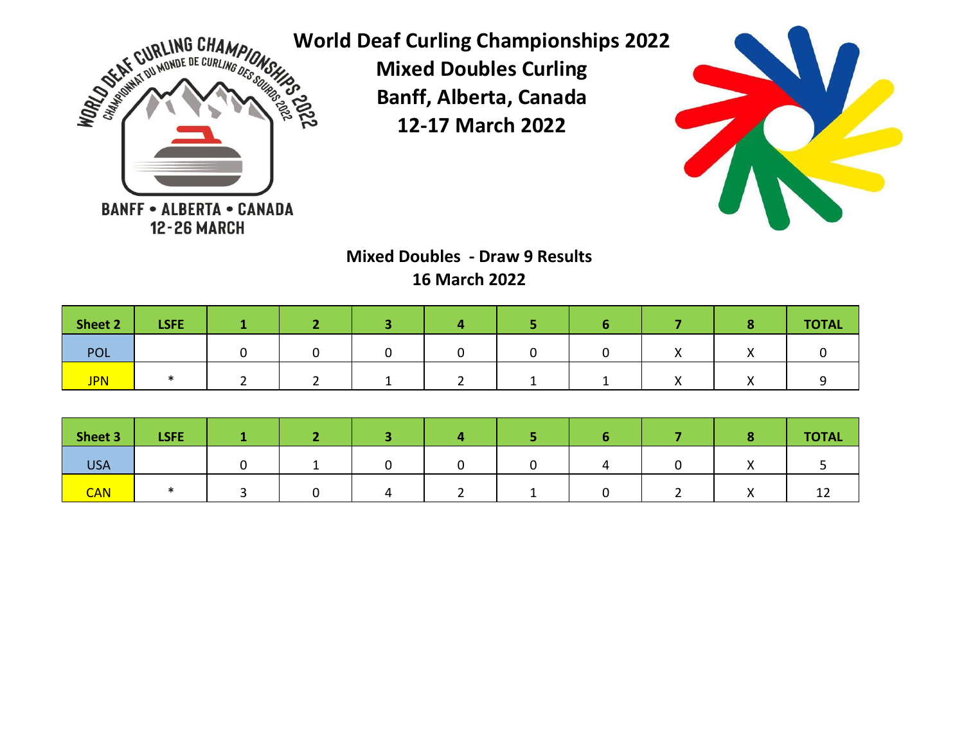



**Mixed Doubles - Draw 9 Results 16 March 2022**

| Sheet 2    | <b>LSFE</b> |  |  |  |  | <b>TOTAL</b> |
|------------|-------------|--|--|--|--|--------------|
| POL        |             |  |  |  |  |              |
| <b>JPN</b> |             |  |  |  |  |              |

| Sheet 3    | <b>LSFE</b> |  |  |  |  | <b>TOTAL</b> |
|------------|-------------|--|--|--|--|--------------|
| <b>USA</b> |             |  |  |  |  |              |
| <b>CAN</b> |             |  |  |  |  | --           |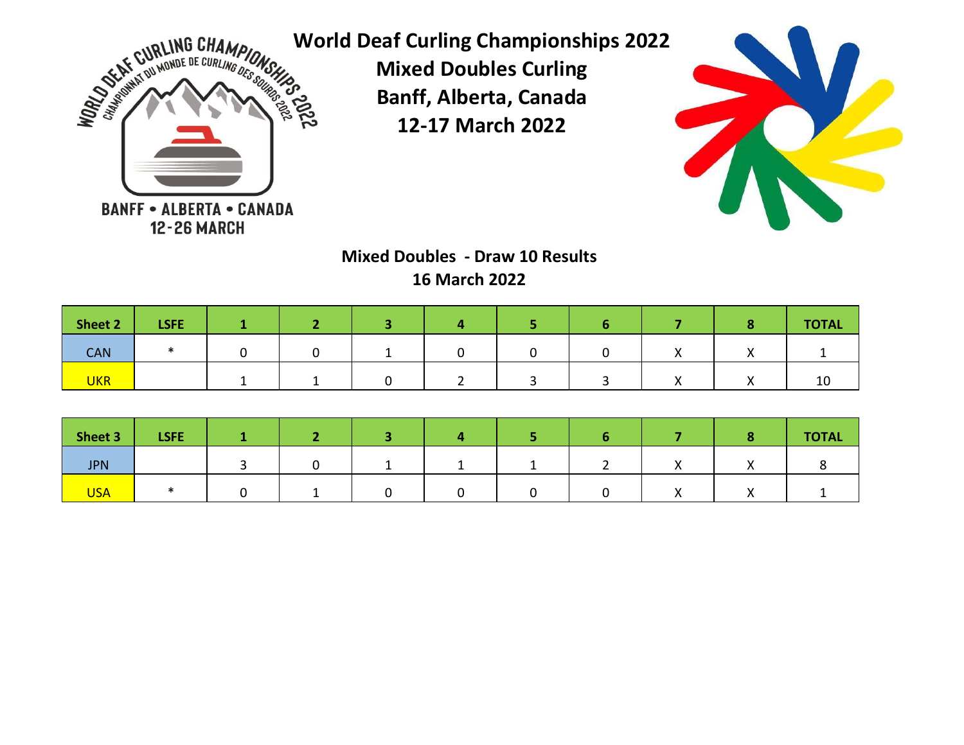



# **Mixed Doubles - Draw 10 Results 16 March 2022**

| Sheet 2    | <b>LSFE</b> |  |  |  |  | <b>TOTAL</b> |
|------------|-------------|--|--|--|--|--------------|
| <b>CAN</b> |             |  |  |  |  |              |
| <b>UKR</b> |             |  |  |  |  | 10           |

| Sheet 3    | <b>LSFE</b> |  |  |  |  | <b>TOTAL</b> |
|------------|-------------|--|--|--|--|--------------|
| <b>JPN</b> |             |  |  |  |  |              |
| <b>USA</b> |             |  |  |  |  |              |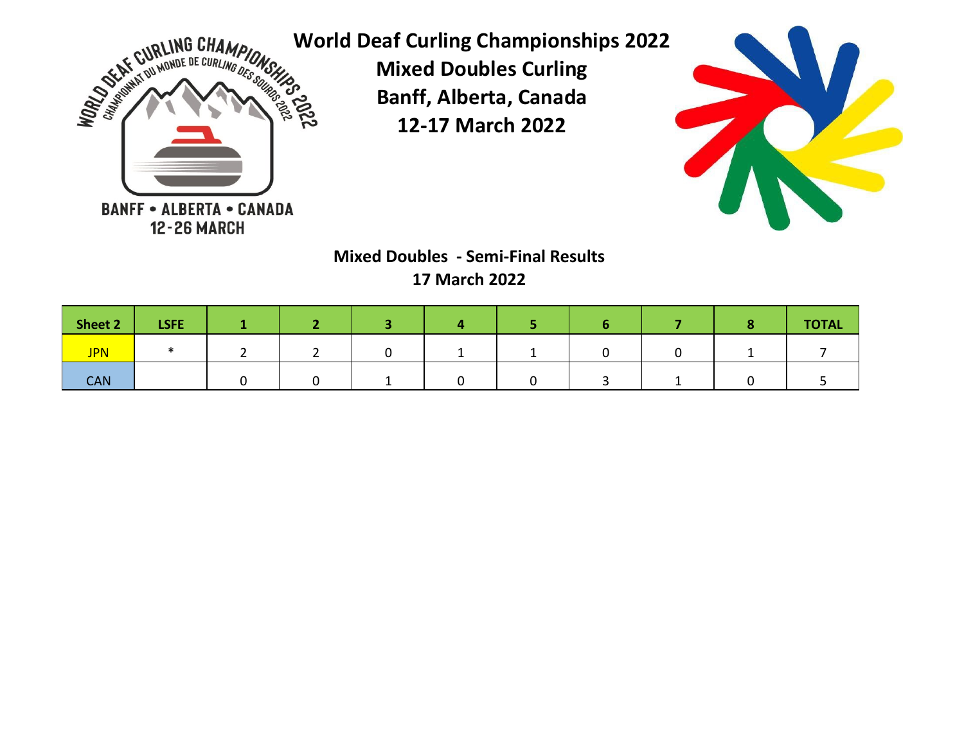



**Mixed Doubles - Semi-Final Results 17 March 2022**

| Sheet 2    | <b>LSFE</b> |  |  |  |  | <b>TOTAL</b> |
|------------|-------------|--|--|--|--|--------------|
| <b>JPN</b> |             |  |  |  |  |              |
| <b>CAN</b> |             |  |  |  |  |              |